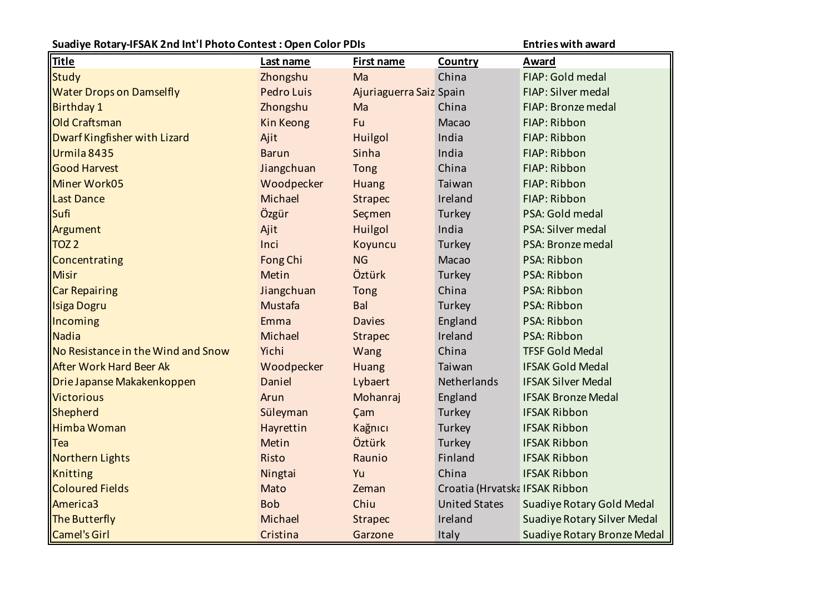| Suadiye Rotary-IFSAK 2nd Int'l Photo Contest: Open Color PDIs |                   |                         |                                | <b>Entries with award</b>          |
|---------------------------------------------------------------|-------------------|-------------------------|--------------------------------|------------------------------------|
| <b>Title</b>                                                  | Last name         | First name              | Country                        | <b>Award</b>                       |
| Study                                                         | Zhongshu          | Ma                      | China                          | FIAP: Gold medal                   |
| <b>Water Drops on Damselfly</b>                               | <b>Pedro Luis</b> | Ajuriaguerra Saiz Spain |                                | FIAP: Silver medal                 |
| <b>Birthday 1</b>                                             | Zhongshu          | Ma                      | China                          | FIAP: Bronze medal                 |
| <b>Old Craftsman</b>                                          | Kin Keong         | Fu                      | Macao                          | FIAP: Ribbon                       |
| Dwarf Kingfisher with Lizard                                  | Ajit              | Huilgol                 | India                          | FIAP: Ribbon                       |
| Urmila 8435                                                   | <b>Barun</b>      | Sinha                   | India                          | FIAP: Ribbon                       |
| Good Harvest                                                  | Jiangchuan        | <b>Tong</b>             | China                          | FIAP: Ribbon                       |
| Miner Work05                                                  | Woodpecker        | Huang                   | Taiwan                         | FIAP: Ribbon                       |
| <b>Last Dance</b>                                             | Michael           | <b>Strapec</b>          | Ireland                        | FIAP: Ribbon                       |
| Sufi                                                          | Özgür             | Seçmen                  | Turkey                         | PSA: Gold medal                    |
| Argument                                                      | Ajit              | Huilgol                 | India                          | PSA: Silver medal                  |
| TOZ2                                                          | Inci              | Koyuncu                 | Turkey                         | PSA: Bronze medal                  |
| Concentrating                                                 | Fong Chi          | <b>NG</b>               | Macao                          | PSA: Ribbon                        |
| Misir                                                         | Metin             | Öztürk                  | Turkey                         | PSA: Ribbon                        |
| <b>Car Repairing</b>                                          | Jiangchuan        | <b>Tong</b>             | China                          | PSA: Ribbon                        |
| Isiga Dogru                                                   | Mustafa           | Bal                     | Turkey                         | PSA: Ribbon                        |
| Incoming                                                      | Emma              | <b>Davies</b>           | England                        | PSA: Ribbon                        |
| Nadia                                                         | Michael           | <b>Strapec</b>          | Ireland                        | PSA: Ribbon                        |
| No Resistance in the Wind and Snow                            | Yichi             | Wang                    | China                          | <b>TFSF Gold Medal</b>             |
| <b>After Work Hard Beer Ak</b>                                | Woodpecker        | Huang                   | Taiwan                         | <b>IFSAK Gold Medal</b>            |
| Drie Japanse Makakenkoppen                                    | Daniel            | Lybaert                 | Netherlands                    | <b>IFSAK Silver Medal</b>          |
| Victorious                                                    | Arun              | Mohanraj                | England                        | <b>IFSAK Bronze Medal</b>          |
| Shepherd                                                      | Süleyman          | Çam                     | Turkey                         | <b>IFSAK Ribbon</b>                |
| Himba Woman                                                   | Hayrettin         | Kağnıcı                 | Turkey                         | <b>IFSAK Ribbon</b>                |
| $ $ Tea                                                       | Metin             | Öztürk                  | Turkey                         | <b>IFSAK Ribbon</b>                |
| Northern Lights                                               | Risto             | Raunio                  | Finland                        | <b>IFSAK Ribbon</b>                |
| Knitting                                                      | Ningtai           | Yu                      | China                          | <b>IFSAK Ribbon</b>                |
| <b>Coloured Fields</b>                                        | Mato              | Zeman                   | Croatia (Hrvatska IFSAK Ribbon |                                    |
| America3                                                      | <b>Bob</b>        | Chiu                    | <b>United States</b>           | <b>Suadiye Rotary Gold Medal</b>   |
| The Butterfly                                                 | Michael           | <b>Strapec</b>          | Ireland                        | <b>Suadiye Rotary Silver Medal</b> |
| Camel's Girl                                                  | Cristina          | Garzone                 | Italy                          | Suadiye Rotary Bronze Medal        |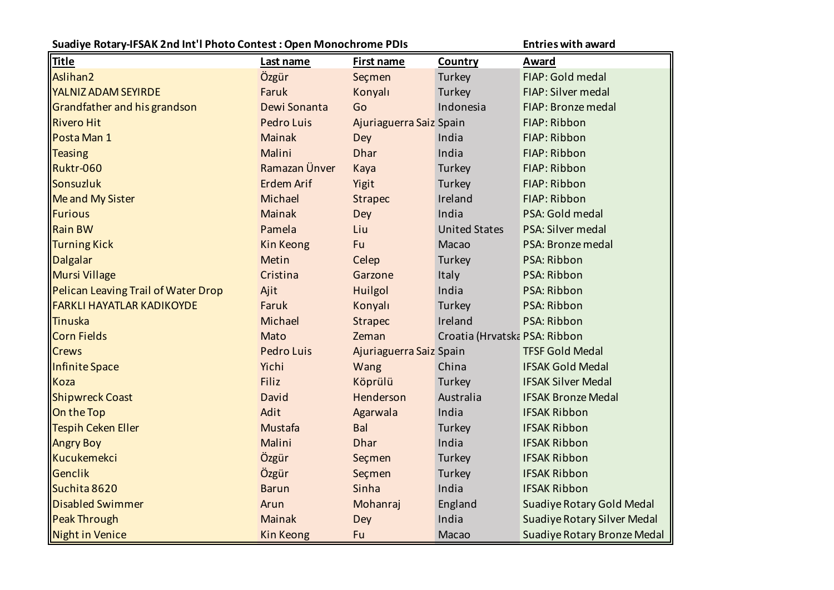| Suadiye Rotary-IFSAK 2nd Int'l Photo Contest: Open Monochrome PDIs |                   |                         |                               | <b>Entries with award</b>          |
|--------------------------------------------------------------------|-------------------|-------------------------|-------------------------------|------------------------------------|
| <b>Title</b>                                                       | Last name         | <b>First name</b>       | Country                       | Award                              |
| Aslihan <sub>2</sub>                                               | Özgür             | Seçmen                  | Turkey                        | FIAP: Gold medal                   |
| YALNIZ ADAM SEYIRDE                                                | Faruk             | Konyalı                 | Turkey                        | FIAP: Silver medal                 |
| Grandfather and his grandson                                       | Dewi Sonanta      | Go                      | Indonesia                     | FIAP: Bronze medal                 |
| <b>Rivero Hit</b>                                                  | <b>Pedro Luis</b> | Ajuriaguerra Saiz Spain |                               | FIAP: Ribbon                       |
| Posta Man 1                                                        | <b>Mainak</b>     | Dey                     | India                         | FIAP: Ribbon                       |
| <b>Teasing</b>                                                     | Malini            | <b>Dhar</b>             | India                         | FIAP: Ribbon                       |
| Ruktr-060                                                          | Ramazan Ünver     | Kaya                    | Turkey                        | FIAP: Ribbon                       |
| Sonsuzluk                                                          | <b>Erdem Arif</b> | Yigit                   | Turkey                        | FIAP: Ribbon                       |
| Me and My Sister                                                   | Michael           | <b>Strapec</b>          | Ireland                       | FIAP: Ribbon                       |
| Furious                                                            | <b>Mainak</b>     | <b>Dey</b>              | India                         | PSA: Gold medal                    |
| <b>Rain BW</b>                                                     | Pamela            | Liu                     | <b>United States</b>          | PSA: Silver medal                  |
| Turning Kick                                                       | <b>Kin Keong</b>  | Fu                      | Macao                         | PSA: Bronze medal                  |
| Dalgalar                                                           | Metin             | Celep                   | Turkey                        | PSA: Ribbon                        |
| <b>Mursi Village</b>                                               | Cristina          | Garzone                 | Italy                         | PSA: Ribbon                        |
| Pelican Leaving Trail of Water Drop                                | Ajit              | Huilgol                 | India                         | PSA: Ribbon                        |
| <b>FARKLI HAYATLAR KADIKOYDE</b>                                   | Faruk             | Konyalı                 | Turkey                        | PSA: Ribbon                        |
| Tinuska                                                            | Michael           | <b>Strapec</b>          | Ireland                       | PSA: Ribbon                        |
| Corn Fields                                                        | Mato              | Zeman                   | Croatia (Hrvatska PSA: Ribbon |                                    |
| <b>Crews</b>                                                       | <b>Pedro Luis</b> | Ajuriaguerra Saiz Spain |                               | <b>TFSF Gold Medal</b>             |
| Infinite Space                                                     | Yichi             | Wang                    | China                         | <b>IFSAK Gold Medal</b>            |
| Koza                                                               | Filiz             | Köprülü                 | Turkey                        | <b>IFSAK Silver Medal</b>          |
| <b>Shipwreck Coast</b>                                             | David             | Henderson               | Australia                     | <b>IFSAK Bronze Medal</b>          |
| On the Top                                                         | Adit              | Agarwala                | India                         | <b>IFSAK Ribbon</b>                |
| Tespih Ceken Eller                                                 | Mustafa           | Bal                     | Turkey                        | <b>IFSAK Ribbon</b>                |
| <b>Angry Boy</b>                                                   | Malini            | <b>Dhar</b>             | India                         | <b>IFSAK Ribbon</b>                |
| Kucukemekci                                                        | Özgür             | Seçmen                  | Turkey                        | <b>IFSAK Ribbon</b>                |
| Genclik                                                            | Özgür             | Seçmen                  | Turkey                        | <b>IFSAK Ribbon</b>                |
| Suchita 8620                                                       | <b>Barun</b>      | Sinha                   | India                         | <b>IFSAK Ribbon</b>                |
| <b>Disabled Swimmer</b>                                            | Arun              | Mohanraj                | England                       | <b>Suadiye Rotary Gold Medal</b>   |
| <b>Peak Through</b>                                                | <b>Mainak</b>     | Dey                     | India                         | <b>Suadiye Rotary Silver Medal</b> |
| Night in Venice                                                    | <b>Kin Keong</b>  | Fu                      | Macao                         | Suadiye Rotary Bronze Medal        |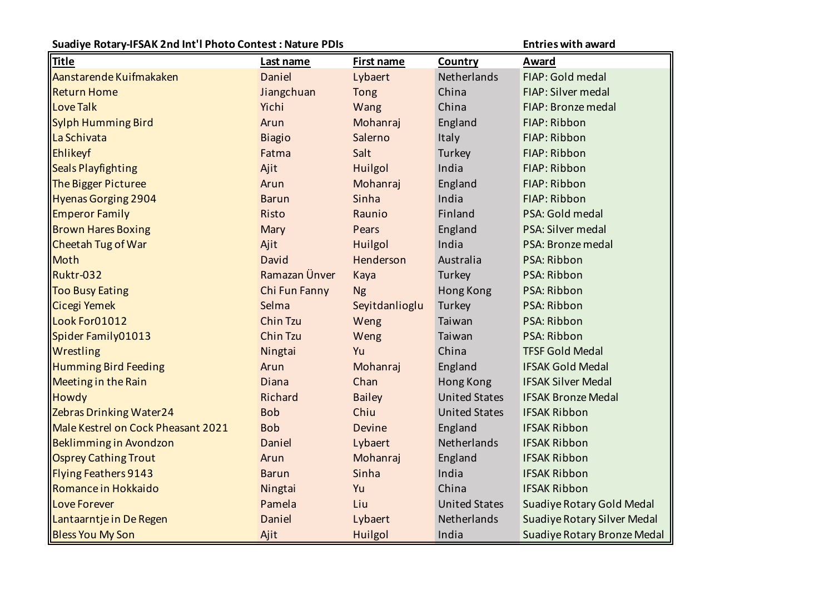| Suadiye Rotary-IFSAK 2nd Int'l Photo Contest: Nature PDIs |               |                   |                      | <b>Entries with award</b>          |
|-----------------------------------------------------------|---------------|-------------------|----------------------|------------------------------------|
| <b>Title</b>                                              | Last name     | <b>First name</b> | Country              | Award                              |
| Aanstarende Kuifmakaken                                   | Daniel        | Lybaert           | Netherlands          | FIAP: Gold medal                   |
| <b>Return Home</b>                                        | Jiangchuan    | <b>Tong</b>       | China                | FIAP: Silver medal                 |
| Love Talk                                                 | Yichi         | Wang              | China                | FIAP: Bronze medal                 |
| Sylph Humming Bird                                        | Arun          | Mohanraj          | England              | FIAP: Ribbon                       |
| La Schivata                                               | <b>Biagio</b> | Salerno           | Italy                | FIAP: Ribbon                       |
| Ehlikeyf                                                  | Fatma         | Salt              | Turkey               | FIAP: Ribbon                       |
| Seals Playfighting                                        | Ajit          | Huilgol           | India                | FIAP: Ribbon                       |
| The Bigger Picturee                                       | Arun          | Mohanraj          | England              | FIAP: Ribbon                       |
| Hyenas Gorging 2904                                       | <b>Barun</b>  | Sinha             | India                | FIAP: Ribbon                       |
| <b>Emperor Family</b>                                     | Risto         | Raunio            | Finland              | PSA: Gold medal                    |
| <b>Brown Hares Boxing</b>                                 | Mary          | Pears             | England              | PSA: Silver medal                  |
| Cheetah Tug of War                                        | Ajit          | Huilgol           | India                | PSA: Bronze medal                  |
| Moth                                                      | David         | Henderson         | Australia            | PSA: Ribbon                        |
| Ruktr-032                                                 | Ramazan Ünver | Kaya              | Turkey               | PSA: Ribbon                        |
| <b>Too Busy Eating</b>                                    | Chi Fun Fanny | <b>Ng</b>         | Hong Kong            | PSA: Ribbon                        |
| Cicegi Yemek                                              | Selma         | Seyitdanlioglu    | Turkey               | PSA: Ribbon                        |
| Look For01012                                             | Chin Tzu      | Weng              | Taiwan               | PSA: Ribbon                        |
| Spider Family01013                                        | Chin Tzu      | Weng              | Taiwan               | PSA: Ribbon                        |
| Wrestling                                                 | Ningtai       | Yu                | China                | <b>TFSF Gold Medal</b>             |
| Humming Bird Feeding                                      | Arun          | Mohanraj          | England              | <b>IFSAK Gold Medal</b>            |
| Meeting in the Rain                                       | Diana         | Chan              | Hong Kong            | <b>IFSAK Silver Medal</b>          |
| Howdy                                                     | Richard       | <b>Bailey</b>     | <b>United States</b> | <b>IFSAK Bronze Medal</b>          |
| <b>Zebras Drinking Water24</b>                            | <b>Bob</b>    | Chiu              | <b>United States</b> | <b>IFSAK Ribbon</b>                |
| Male Kestrel on Cock Pheasant 2021                        | <b>Bob</b>    | <b>Devine</b>     | England              | <b>IFSAK Ribbon</b>                |
| Beklimming in Avondzon                                    | Daniel        | Lybaert           | Netherlands          | <b>IFSAK Ribbon</b>                |
| <b>Osprey Cathing Trout</b>                               | Arun          | Mohanraj          | England              | <b>IFSAK Ribbon</b>                |
| Flying Feathers 9143                                      | <b>Barun</b>  | Sinha             | India                | <b>IFSAK Ribbon</b>                |
| Romance in Hokkaido                                       | Ningtai       | Yu                | China                | <b>IFSAK Ribbon</b>                |
| Love Forever                                              | Pamela        | Liu               | <b>United States</b> | <b>Suadiye Rotary Gold Medal</b>   |
| Lantaarntje in De Regen                                   | Daniel        | Lybaert           | Netherlands          | <b>Suadiye Rotary Silver Medal</b> |
| <b>Bless You My Son</b>                                   | Ajit          | Huilgol           | India                | <b>Suadiye Rotary Bronze Medal</b> |